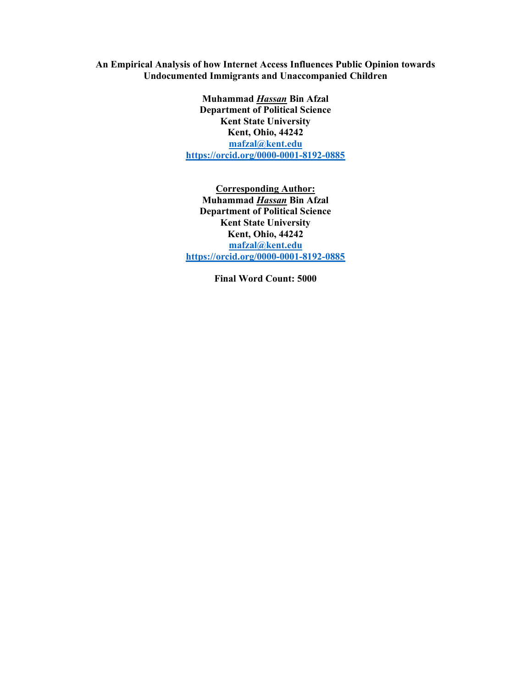An Empirical Analysis of how Internet Access Influences Public Opinion towards Undocumented Immigrants and Unaccompanied Children

> Muhammad Hassan Bin Afzal Department of Political Science Kent State University Kent, Ohio, 44242 mafzal@kent.edu https://orcid.org/0000-0001-8192-0885

> Corresponding Author: Muhammad Hassan Bin Afzal Department of Political Science Kent State University Kent, Ohio, 44242 mafzal@kent.edu https://orcid.org/0000-0001-8192-0885

> > Final Word Count: 5000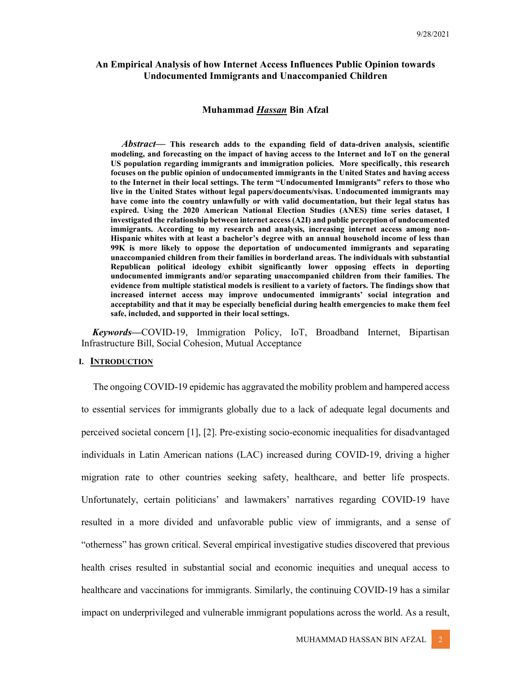# An Empirical Analysis of how Internet Access Influences Public Opinion towards Undocumented Immigrants and Unaccompanied Children

### Muhammad Hassan Bin Afzal

Abstract— This research adds to the expanding field of data-driven analysis, scientific modeling, and forecasting on the impact of having access to the Internet and IoT on the general US population regarding immigrants and immigration policies. More specifically, this research focuses on the public opinion of undocumented immigrants in the United States and having access to the Internet in their local settings. The term "Undocumented Immigrants" refers to those who live in the United States without legal papers/documents/visas. Undocumented immigrants may have come into the country unlawfully or with valid documentation, but their legal status has expired. Using the 2020 American National Election Studies (ANES) time series dataset, I investigated the relationship between internet access (A2I) and public perception of undocumented immigrants. According to my research and analysis, increasing internet access among non-Hispanic whites with at least a bachelor's degree with an annual household income of less than 99K is more likely to oppose the deportation of undocumented immigrants and separating unaccompanied children from their families in borderland areas. The individuals with substantial Republican political ideology exhibit significantly lower opposing effects in deporting undocumented immigrants and/or separating unaccompanied children from their families. The evidence from multiple statistical models is resilient to a variety of factors. The findings show that increased internet access may improve undocumented immigrants' social integration and acceptability and that it may be especially beneficial during health emergencies to make them feel safe, included, and supported in their local settings.

Keywords—COVID-19, Immigration Policy, IoT, Broadband Internet, Bipartisan Infrastructure Bill, Social Cohesion, Mutual Acceptance

#### I. **INTRODUCTION**

The ongoing COVID-19 epidemic has aggravated the mobility problem and hampered access to essential services for immigrants globally due to a lack of adequate legal documents and perceived societal concern [1], [2]. Pre-existing socio-economic inequalities for disadvantaged individuals in Latin American nations (LAC) increased during COVID-19, driving a higher migration rate to other countries seeking safety, healthcare, and better life prospects. Unfortunately, certain politicians' and lawmakers' narratives regarding COVID-19 have resulted in a more divided and unfavorable public view of immigrants, and a sense of "otherness" has grown critical. Several empirical investigative studies discovered that previous health crises resulted in substantial social and economic inequities and unequal access to healthcare and vaccinations for immigrants. Similarly, the continuing COVID-19 has a similar impact on underprivileged and vulnerable immigrant populations across the world. As a result,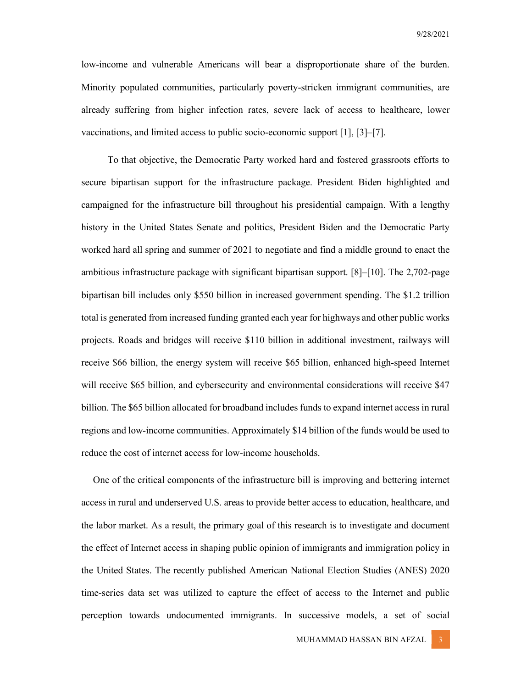low-income and vulnerable Americans will bear a disproportionate share of the burden. Minority populated communities, particularly poverty-stricken immigrant communities, are already suffering from higher infection rates, severe lack of access to healthcare, lower vaccinations, and limited access to public socio-economic support [1], [3]–[7].

 To that objective, the Democratic Party worked hard and fostered grassroots efforts to secure bipartisan support for the infrastructure package. President Biden highlighted and campaigned for the infrastructure bill throughout his presidential campaign. With a lengthy history in the United States Senate and politics, President Biden and the Democratic Party worked hard all spring and summer of 2021 to negotiate and find a middle ground to enact the ambitious infrastructure package with significant bipartisan support. [8]–[10]. The 2,702-page bipartisan bill includes only \$550 billion in increased government spending. The \$1.2 trillion total is generated from increased funding granted each year for highways and other public works projects. Roads and bridges will receive \$110 billion in additional investment, railways will receive \$66 billion, the energy system will receive \$65 billion, enhanced high-speed Internet will receive \$65 billion, and cybersecurity and environmental considerations will receive \$47 billion. The \$65 billion allocated for broadband includes funds to expand internet access in rural regions and low-income communities. Approximately \$14 billion of the funds would be used to reduce the cost of internet access for low-income households.

One of the critical components of the infrastructure bill is improving and bettering internet access in rural and underserved U.S. areas to provide better access to education, healthcare, and the labor market. As a result, the primary goal of this research is to investigate and document the effect of Internet access in shaping public opinion of immigrants and immigration policy in the United States. The recently published American National Election Studies (ANES) 2020 time-series data set was utilized to capture the effect of access to the Internet and public perception towards undocumented immigrants. In successive models, a set of social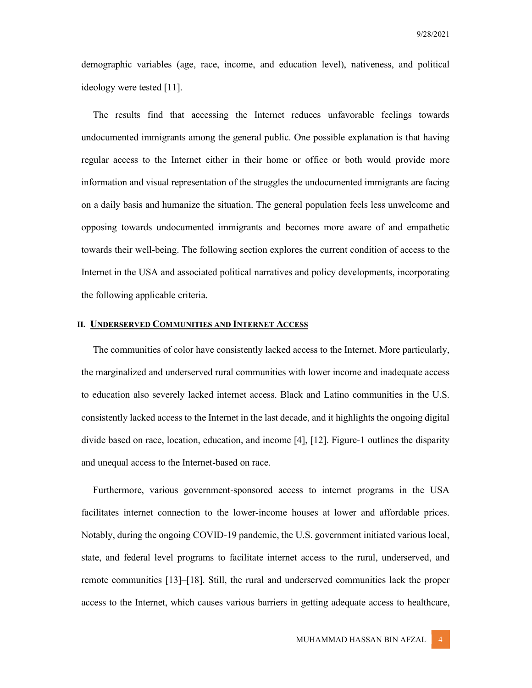demographic variables (age, race, income, and education level), nativeness, and political ideology were tested [11].

The results find that accessing the Internet reduces unfavorable feelings towards undocumented immigrants among the general public. One possible explanation is that having regular access to the Internet either in their home or office or both would provide more information and visual representation of the struggles the undocumented immigrants are facing on a daily basis and humanize the situation. The general population feels less unwelcome and opposing towards undocumented immigrants and becomes more aware of and empathetic towards their well-being. The following section explores the current condition of access to the Internet in the USA and associated political narratives and policy developments, incorporating the following applicable criteria.

### II. UNDERSERVED COMMUNITIES AND INTERNET ACCESS

The communities of color have consistently lacked access to the Internet. More particularly, the marginalized and underserved rural communities with lower income and inadequate access to education also severely lacked internet access. Black and Latino communities in the U.S. consistently lacked access to the Internet in the last decade, and it highlights the ongoing digital divide based on race, location, education, and income [4], [12]. Figure-1 outlines the disparity and unequal access to the Internet-based on race.

Furthermore, various government-sponsored access to internet programs in the USA facilitates internet connection to the lower-income houses at lower and affordable prices. Notably, during the ongoing COVID-19 pandemic, the U.S. government initiated various local, state, and federal level programs to facilitate internet access to the rural, underserved, and remote communities [13]–[18]. Still, the rural and underserved communities lack the proper access to the Internet, which causes various barriers in getting adequate access to healthcare,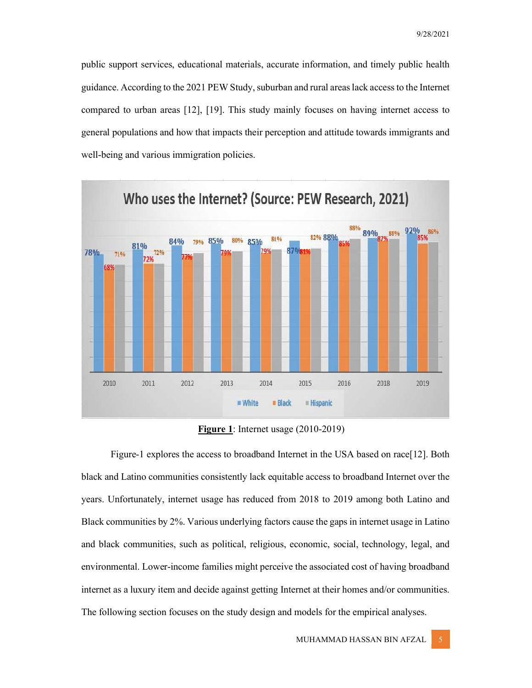public support services, educational materials, accurate information, and timely public health guidance. According to the 2021 PEW Study, suburban and rural areas lack access to the Internet compared to urban areas [12], [19]. This study mainly focuses on having internet access to general populations and how that impacts their perception and attitude towards immigrants and well-being and various immigration policies.



Figure 1: Internet usage (2010-2019)

 Figure-1 explores the access to broadband Internet in the USA based on race[12]. Both black and Latino communities consistently lack equitable access to broadband Internet over the years. Unfortunately, internet usage has reduced from 2018 to 2019 among both Latino and Black communities by 2%. Various underlying factors cause the gaps in internet usage in Latino and black communities, such as political, religious, economic, social, technology, legal, and environmental. Lower-income families might perceive the associated cost of having broadband internet as a luxury item and decide against getting Internet at their homes and/or communities. The following section focuses on the study design and models for the empirical analyses.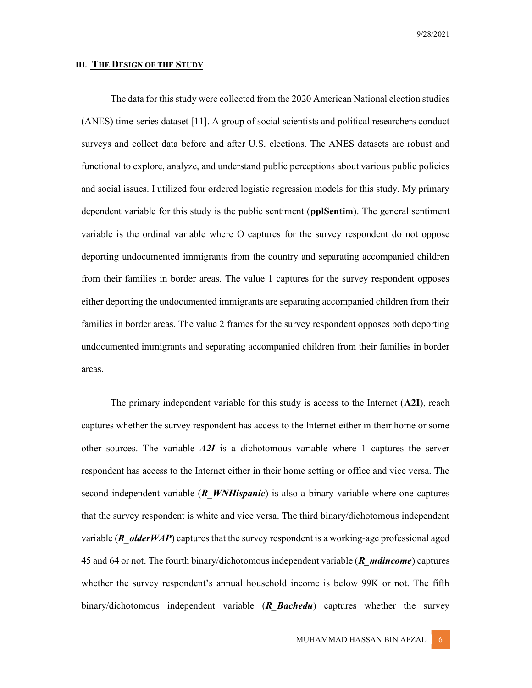### III. THE DESIGN OF THE STUDY

 The data for this study were collected from the 2020 American National election studies (ANES) time-series dataset [11]. A group of social scientists and political researchers conduct surveys and collect data before and after U.S. elections. The ANES datasets are robust and functional to explore, analyze, and understand public perceptions about various public policies and social issues. I utilized four ordered logistic regression models for this study. My primary dependent variable for this study is the public sentiment (**pplSentim**). The general sentiment variable is the ordinal variable where O captures for the survey respondent do not oppose deporting undocumented immigrants from the country and separating accompanied children from their families in border areas. The value 1 captures for the survey respondent opposes either deporting the undocumented immigrants are separating accompanied children from their families in border areas. The value 2 frames for the survey respondent opposes both deporting undocumented immigrants and separating accompanied children from their families in border areas.

The primary independent variable for this study is access to the Internet  $(A2I)$ , reach captures whether the survey respondent has access to the Internet either in their home or some other sources. The variable  $A2I$  is a dichotomous variable where 1 captures the server respondent has access to the Internet either in their home setting or office and vice versa. The second independent variable  $(R$  *WNHispanic*) is also a binary variable where one captures that the survey respondent is white and vice versa. The third binary/dichotomous independent variable ( $\bf{R}$  olderWAP) captures that the survey respondent is a working-age professional aged 45 and 64 or not. The fourth binary/dichotomous independent variable ( $\bm{R}$  mdincome) captures whether the survey respondent's annual household income is below 99K or not. The fifth binary/dichotomous independent variable  $(R_B^B \text{ac} \text{hedu})$  captures whether the survey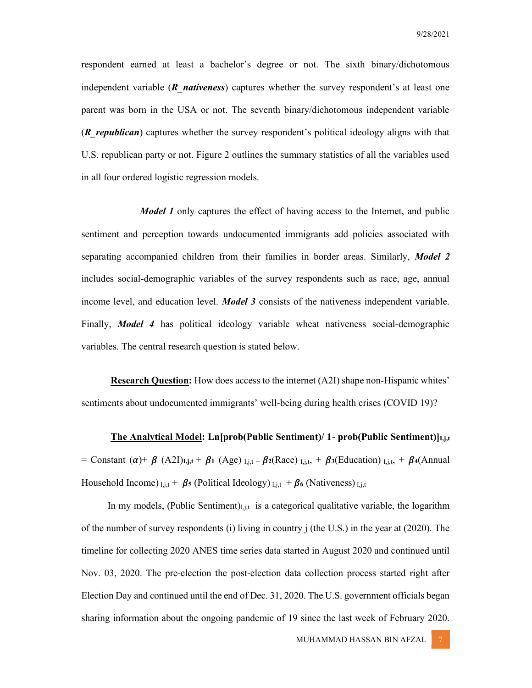respondent earned at least a bachelor's degree or not. The sixth binary/dichotomous independent variable  $(R$  nativeness) captures whether the survey respondent's at least one parent was born in the USA or not. The seventh binary/dichotomous independent variable (R republican) captures whether the survey respondent's political ideology aligns with that U.S. republican party or not. Figure 2 outlines the summary statistics of all the variables used in all four ordered logistic regression models.

*Model 1* only captures the effect of having access to the Internet, and public sentiment and perception towards undocumented immigrants add policies associated with separating accompanied children from their families in border areas. Similarly, **Model 2** includes social-demographic variables of the survey respondents such as race, age, annual income level, and education level. *Model 3* consists of the nativeness independent variable. Finally, *Model 4* has political ideology variable wheat nativeness social-demographic variables. The central research question is stated below.

 Research Question: How does access to the internet (A2I) shape non-Hispanic whites' sentiments about undocumented immigrants' well-being during health crises (COVID 19)?

**The Analytical Model:** Ln[prob(Public Sentiment)/ 1- prob(Public Sentiment) $|_{i,j,t}$ = Constant  $(\alpha)$ +  $\beta$  (A2I)<sub>I,j,t</sub> +  $\beta$ <sub>1</sub> (Age)<sub>I,j,t</sub> +  $\beta$ <sub>2</sub>(Race)<sub>I,j,t</sub>, +  $\beta$ <sub>3</sub>(Education)<sub>I,j,t</sub>, +  $\beta$ <sub>4</sub>(Annual Household Income)  $I_{i,j,t}$  +  $\beta$ <sub>5</sub> (Political Ideology)  $I_{i,j,t}$  +  $\beta$ <sub>6</sub> (Nativeness)  $I_{i,j,t}$ 

In my models, (Public Sentiment) $I_{i,j,t}$  is a categorical qualitative variable, the logarithm of the number of survey respondents (i) living in country j (the U.S.) in the year at (2020). The timeline for collecting 2020 ANES time series data started in August 2020 and continued until Nov. 03, 2020. The pre-election the post-election data collection process started right after Election Day and continued until the end of Dec. 31, 2020. The U.S. government officials began sharing information about the ongoing pandemic of 19 since the last week of February 2020.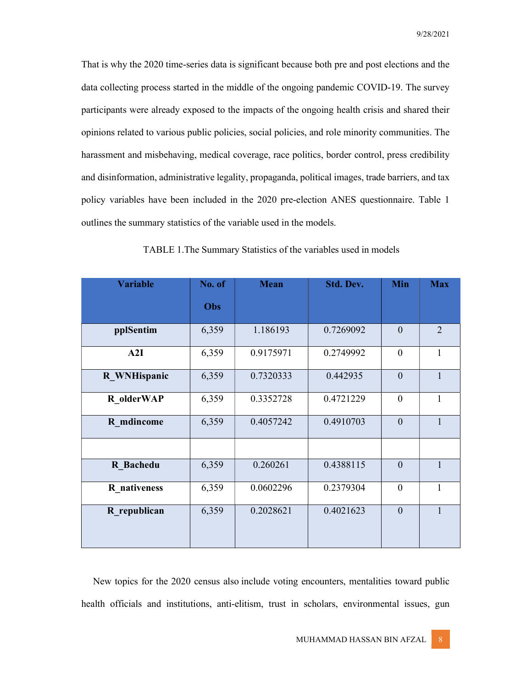That is why the 2020 time-series data is significant because both pre and post elections and the data collecting process started in the middle of the ongoing pandemic COVID-19. The survey participants were already exposed to the impacts of the ongoing health crisis and shared their opinions related to various public policies, social policies, and role minority communities. The harassment and misbehaving, medical coverage, race politics, border control, press credibility and disinformation, administrative legality, propaganda, political images, trade barriers, and tax policy variables have been included in the 2020 pre-election ANES questionnaire. Table 1 outlines the summary statistics of the variable used in the models.

| <b>Variable</b> | No. of | <b>Mean</b> | <b>Std. Dev.</b> | Min            | <b>Max</b>     |
|-----------------|--------|-------------|------------------|----------------|----------------|
|                 | Obs    |             |                  |                |                |
| pplSentim       | 6,359  | 1.186193    | 0.7269092        | $\overline{0}$ | $\overline{2}$ |
| A2I             | 6,359  | 0.9175971   | 0.2749992        | $\theta$       | 1              |
| R_WNHispanic    | 6,359  | 0.7320333   | 0.442935         | $\overline{0}$ | $\mathbf{1}$   |
| R olderWAP      | 6,359  | 0.3352728   | 0.4721229        | $\overline{0}$ | $\mathbf{1}$   |
| R mdincome      | 6,359  | 0.4057242   | 0.4910703        | $\theta$       |                |
|                 |        |             |                  |                |                |
| R Bachedu       | 6,359  | 0.260261    | 0.4388115        | $\overline{0}$ | $\mathbf{1}$   |
| R nativeness    | 6,359  | 0.0602296   | 0.2379304        | $\mathbf{0}$   | $\mathbf{1}$   |
| R republican    | 6,359  | 0.2028621   | 0.4021623        | $\overline{0}$ | $\mathbf{1}$   |
|                 |        |             |                  |                |                |

TABLE 1.The Summary Statistics of the variables used in models

New topics for the 2020 census also include voting encounters, mentalities toward public health officials and institutions, anti-elitism, trust in scholars, environmental issues, gun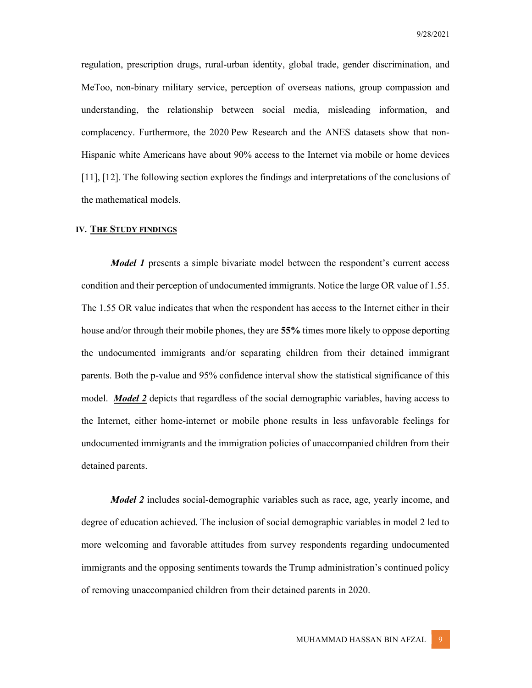regulation, prescription drugs, rural-urban identity, global trade, gender discrimination, and MeToo, non-binary military service, perception of overseas nations, group compassion and understanding, the relationship between social media, misleading information, and complacency. Furthermore, the 2020 Pew Research and the ANES datasets show that non-Hispanic white Americans have about 90% access to the Internet via mobile or home devices [11], [12]. The following section explores the findings and interpretations of the conclusions of the mathematical models.

## IV. THE STUDY FINDINGS

**Model 1** presents a simple bivariate model between the respondent's current access condition and their perception of undocumented immigrants. Notice the large OR value of 1.55. The 1.55 OR value indicates that when the respondent has access to the Internet either in their house and/or through their mobile phones, they are 55% times more likely to oppose deporting the undocumented immigrants and/or separating children from their detained immigrant parents. Both the p-value and 95% confidence interval show the statistical significance of this model. *Model 2* depicts that regardless of the social demographic variables, having access to the Internet, either home-internet or mobile phone results in less unfavorable feelings for undocumented immigrants and the immigration policies of unaccompanied children from their detained parents.

 Model 2 includes social-demographic variables such as race, age, yearly income, and degree of education achieved. The inclusion of social demographic variables in model 2 led to more welcoming and favorable attitudes from survey respondents regarding undocumented immigrants and the opposing sentiments towards the Trump administration's continued policy of removing unaccompanied children from their detained parents in 2020.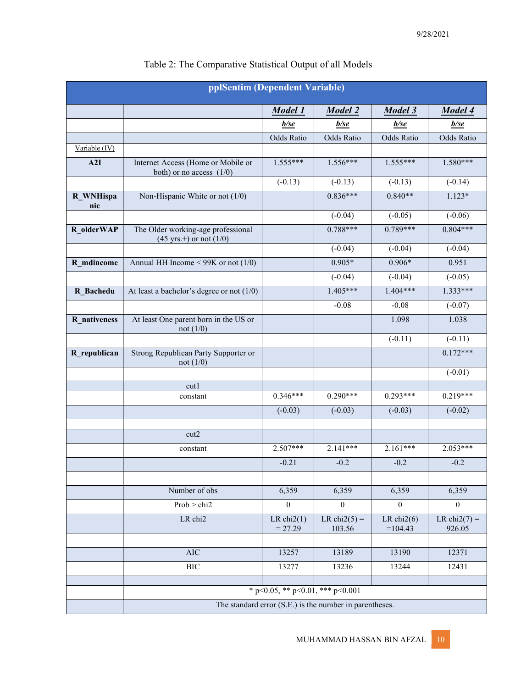| pplSentim (Dependent Variable) |                                                                          |                           |                           |                            |                           |  |  |  |
|--------------------------------|--------------------------------------------------------------------------|---------------------------|---------------------------|----------------------------|---------------------------|--|--|--|
|                                |                                                                          | Model 1                   | Model 2                   | Model 3                    | Model 4                   |  |  |  |
|                                |                                                                          | $b$ /se                   | $b$ /se                   | $b$ /se                    | $b$ /se                   |  |  |  |
|                                |                                                                          | Odds Ratio                | Odds Ratio                | Odds Ratio                 | Odds Ratio                |  |  |  |
| Variable (IV)                  |                                                                          |                           |                           |                            |                           |  |  |  |
| A2I                            | Internet Access (Home or Mobile or<br>both) or no access $(1/0)$         | $1.555***$                | $1.556***$                | $1.555***$                 | $1.580***$                |  |  |  |
|                                |                                                                          | $(-0.13)$                 | $(-0.13)$                 | $(-0.13)$                  | $(-0.14)$                 |  |  |  |
| R_WNHispa<br>nic               | Non-Hispanic White or not $(1/0)$                                        |                           | $0.836***$                | $0.840**$                  | $1.123*$                  |  |  |  |
|                                |                                                                          |                           | $(-0.04)$                 | $(-0.05)$                  | $(-0.06)$                 |  |  |  |
| R_olderWAP                     | The Older working-age professional<br>$(45 \text{ yrs.})$ or not $(1/0)$ |                           | $0.788***$                | $0.789***$                 | $0.804***$                |  |  |  |
|                                |                                                                          |                           | $(-0.04)$                 | $(-0.04)$                  | $(-0.04)$                 |  |  |  |
| R_mdincome                     | Annual HH Income $<$ 99K or not (1/0)                                    |                           | $0.905*$                  | $0.906*$                   | 0.951                     |  |  |  |
|                                |                                                                          |                           | $(-0.04)$                 | $(-0.04)$                  | $(-0.05)$                 |  |  |  |
| R Bachedu                      | At least a bachelor's degree or not $(1/0)$                              |                           | $1.405***$                | $1.404***$                 | $1.333***$                |  |  |  |
|                                |                                                                          |                           | $-0.08$                   | $-0.08$                    | $(-0.07)$                 |  |  |  |
| R nativeness                   | At least One parent born in the US or<br>not $(1/0)$                     |                           |                           | 1.098                      | 1.038                     |  |  |  |
|                                |                                                                          |                           |                           | $(-0.11)$                  | $(-0.11)$                 |  |  |  |
| R_republican                   | Strong Republican Party Supporter or<br>not $(1/0)$                      |                           |                           |                            | $0.172***$                |  |  |  |
|                                |                                                                          |                           |                           |                            | $(-0.01)$                 |  |  |  |
|                                | cut1<br>constant                                                         | $0.346***$                | $0.290***$                | $0.293***$                 | $0.219***$                |  |  |  |
|                                |                                                                          |                           | $(-0.03)$                 |                            |                           |  |  |  |
|                                |                                                                          | $(-0.03)$                 |                           | $(-0.03)$                  | $(-0.02)$                 |  |  |  |
|                                | cut2                                                                     |                           |                           |                            |                           |  |  |  |
|                                | constant                                                                 | $2.507***$                | $2.141***$                | $2.161***$                 | $2.053***$                |  |  |  |
|                                |                                                                          | $-0.21$                   | $-0.2$                    | $-0.2$                     | $-0.2$                    |  |  |  |
|                                |                                                                          |                           |                           |                            |                           |  |  |  |
|                                | Number of obs                                                            | 6,359                     | 6,359                     | 6,359                      | 6,359                     |  |  |  |
|                                | Prob > chi2                                                              | $\theta$                  | $\boldsymbol{0}$          | $\boldsymbol{0}$           | $\theta$                  |  |  |  |
|                                | LR chi2                                                                  | LR $chi2(1)$<br>$= 27.29$ | LR chi $2(5)$ =<br>103.56 | LR chi $2(6)$<br>$=104.43$ | LR chi $2(7)$ =<br>926.05 |  |  |  |
|                                |                                                                          |                           |                           |                            |                           |  |  |  |
|                                | <b>AIC</b>                                                               | 13257                     | 13189                     | 13190                      | 12371                     |  |  |  |
|                                | <b>BIC</b>                                                               | 13277                     | 13236                     | 13244                      | 12431                     |  |  |  |
|                                | * p<0.05, ** p<0.01, *** p<0.001                                         |                           |                           |                            |                           |  |  |  |
|                                |                                                                          |                           |                           |                            |                           |  |  |  |
|                                | The standard error (S.E.) is the number in parentheses.                  |                           |                           |                            |                           |  |  |  |

# Table 2: The Comparative Statistical Output of all Models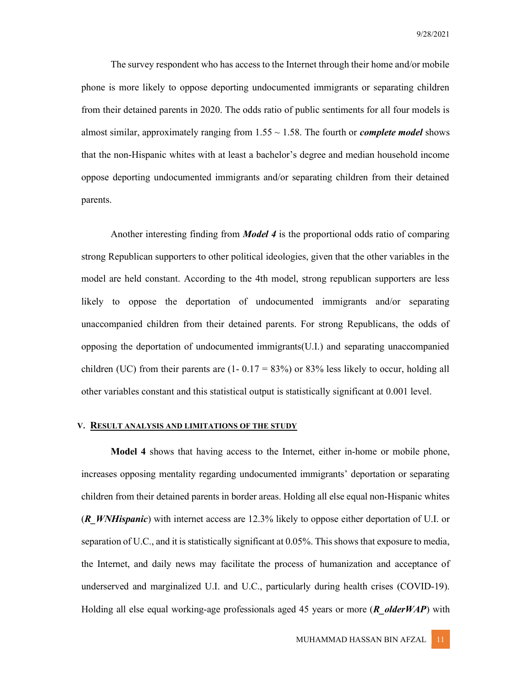The survey respondent who has access to the Internet through their home and/or mobile phone is more likely to oppose deporting undocumented immigrants or separating children from their detained parents in 2020. The odds ratio of public sentiments for all four models is almost similar, approximately ranging from  $1.55 \sim 1.58$ . The fourth or *complete model* shows that the non-Hispanic whites with at least a bachelor's degree and median household income oppose deporting undocumented immigrants and/or separating children from their detained parents.

 Another interesting finding from Model 4 is the proportional odds ratio of comparing strong Republican supporters to other political ideologies, given that the other variables in the model are held constant. According to the 4th model, strong republican supporters are less likely to oppose the deportation of undocumented immigrants and/or separating unaccompanied children from their detained parents. For strong Republicans, the odds of opposing the deportation of undocumented immigrants(U.I.) and separating unaccompanied children (UC) from their parents are  $(1 - 0.17 = 83\%)$  or 83% less likely to occur, holding all other variables constant and this statistical output is statistically significant at 0.001 level.

## V. RESULT ANALYSIS AND LIMITATIONS OF THE STUDY

 Model 4 shows that having access to the Internet, either in-home or mobile phone, increases opposing mentality regarding undocumented immigrants' deportation or separating children from their detained parents in border areas. Holding all else equal non-Hispanic whites (R WNHispanic) with internet access are  $12.3\%$  likely to oppose either deportation of U.I. or separation of U.C., and it is statistically significant at 0.05%. This shows that exposure to media, the Internet, and daily news may facilitate the process of humanization and acceptance of underserved and marginalized U.I. and U.C., particularly during health crises (COVID-19). Holding all else equal working-age professionals aged 45 years or more ( $\bf{R}$  olderWAP) with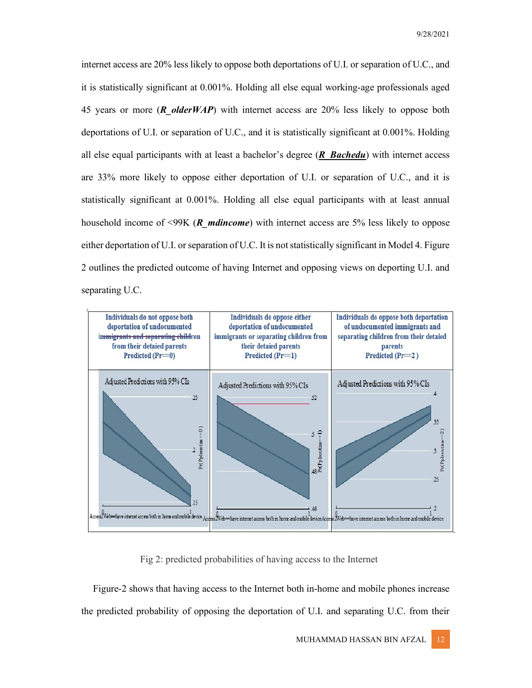internet access are 20% less likely to oppose both deportations of U.I. or separation of U.C., and it is statistically significant at 0.001%. Holding all else equal working-age professionals aged 45 years or more ( $\bf{R}$  older  $WAP$ ) with internet access are 20% less likely to oppose both deportations of U.I. or separation of U.C., and it is statistically significant at 0.001%. Holding all else equal participants with at least a bachelor's degree  $(R$  Bachedu) with internet access are 33% more likely to oppose either deportation of U.I. or separation of U.C., and it is statistically significant at 0.001%. Holding all else equal participants with at least annual household income of  $\leq$ 99K (*R* mdincome) with internet access are 5% less likely to oppose either deportation of U.I. or separation of U.C. It is not statistically significant in Model 4. Figure 2 outlines the predicted outcome of having Internet and opposing views on deporting U.I. and separating U.C.



Fig 2: predicted probabilities of having access to the Internet

Figure-2 shows that having access to the Internet both in-home and mobile phones increase the predicted probability of opposing the deportation of U.I. and separating U.C. from their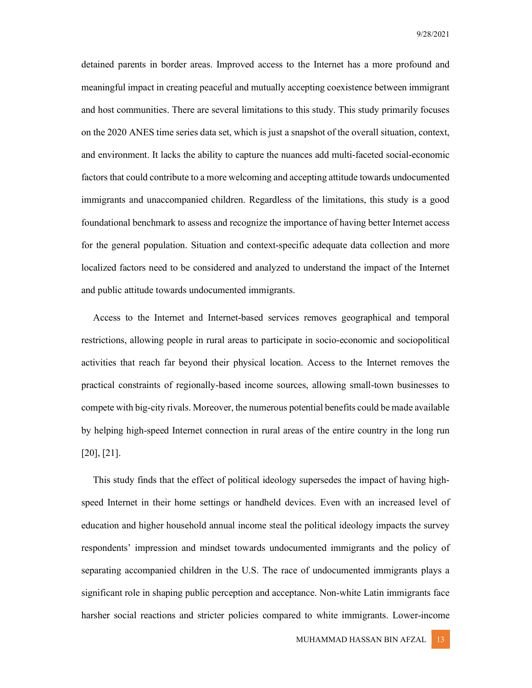detained parents in border areas. Improved access to the Internet has a more profound and meaningful impact in creating peaceful and mutually accepting coexistence between immigrant and host communities. There are several limitations to this study. This study primarily focuses on the 2020 ANES time series data set, which is just a snapshot of the overall situation, context, and environment. It lacks the ability to capture the nuances add multi-faceted social-economic factors that could contribute to a more welcoming and accepting attitude towards undocumented immigrants and unaccompanied children. Regardless of the limitations, this study is a good foundational benchmark to assess and recognize the importance of having better Internet access for the general population. Situation and context-specific adequate data collection and more localized factors need to be considered and analyzed to understand the impact of the Internet and public attitude towards undocumented immigrants.

Access to the Internet and Internet-based services removes geographical and temporal restrictions, allowing people in rural areas to participate in socio-economic and sociopolitical activities that reach far beyond their physical location. Access to the Internet removes the practical constraints of regionally-based income sources, allowing small-town businesses to compete with big-city rivals. Moreover, the numerous potential benefits could be made available by helping high-speed Internet connection in rural areas of the entire country in the long run [20], [21].

This study finds that the effect of political ideology supersedes the impact of having highspeed Internet in their home settings or handheld devices. Even with an increased level of education and higher household annual income steal the political ideology impacts the survey respondents' impression and mindset towards undocumented immigrants and the policy of separating accompanied children in the U.S. The race of undocumented immigrants plays a significant role in shaping public perception and acceptance. Non-white Latin immigrants face harsher social reactions and stricter policies compared to white immigrants. Lower-income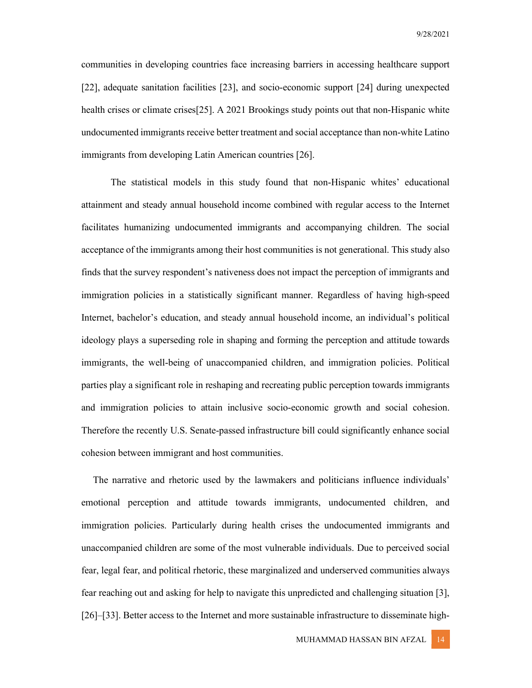communities in developing countries face increasing barriers in accessing healthcare support [22], adequate sanitation facilities [23], and socio-economic support [24] during unexpected health crises or climate crises[25]. A 2021 Brookings study points out that non-Hispanic white undocumented immigrants receive better treatment and social acceptance than non-white Latino immigrants from developing Latin American countries [26].

 The statistical models in this study found that non-Hispanic whites' educational attainment and steady annual household income combined with regular access to the Internet facilitates humanizing undocumented immigrants and accompanying children. The social acceptance of the immigrants among their host communities is not generational. This study also finds that the survey respondent's nativeness does not impact the perception of immigrants and immigration policies in a statistically significant manner. Regardless of having high-speed Internet, bachelor's education, and steady annual household income, an individual's political ideology plays a superseding role in shaping and forming the perception and attitude towards immigrants, the well-being of unaccompanied children, and immigration policies. Political parties play a significant role in reshaping and recreating public perception towards immigrants and immigration policies to attain inclusive socio-economic growth and social cohesion. Therefore the recently U.S. Senate-passed infrastructure bill could significantly enhance social cohesion between immigrant and host communities.

The narrative and rhetoric used by the lawmakers and politicians influence individuals' emotional perception and attitude towards immigrants, undocumented children, and immigration policies. Particularly during health crises the undocumented immigrants and unaccompanied children are some of the most vulnerable individuals. Due to perceived social fear, legal fear, and political rhetoric, these marginalized and underserved communities always fear reaching out and asking for help to navigate this unpredicted and challenging situation [3], [26]–[33]. Better access to the Internet and more sustainable infrastructure to disseminate high-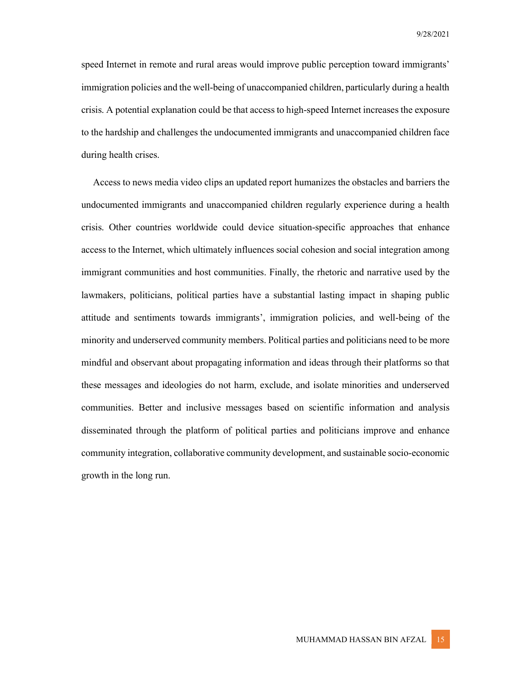speed Internet in remote and rural areas would improve public perception toward immigrants' immigration policies and the well-being of unaccompanied children, particularly during a health crisis. A potential explanation could be that access to high-speed Internet increases the exposure to the hardship and challenges the undocumented immigrants and unaccompanied children face during health crises.

Access to news media video clips an updated report humanizes the obstacles and barriers the undocumented immigrants and unaccompanied children regularly experience during a health crisis. Other countries worldwide could device situation-specific approaches that enhance access to the Internet, which ultimately influences social cohesion and social integration among immigrant communities and host communities. Finally, the rhetoric and narrative used by the lawmakers, politicians, political parties have a substantial lasting impact in shaping public attitude and sentiments towards immigrants', immigration policies, and well-being of the minority and underserved community members. Political parties and politicians need to be more mindful and observant about propagating information and ideas through their platforms so that these messages and ideologies do not harm, exclude, and isolate minorities and underserved communities. Better and inclusive messages based on scientific information and analysis disseminated through the platform of political parties and politicians improve and enhance community integration, collaborative community development, and sustainable socio-economic growth in the long run.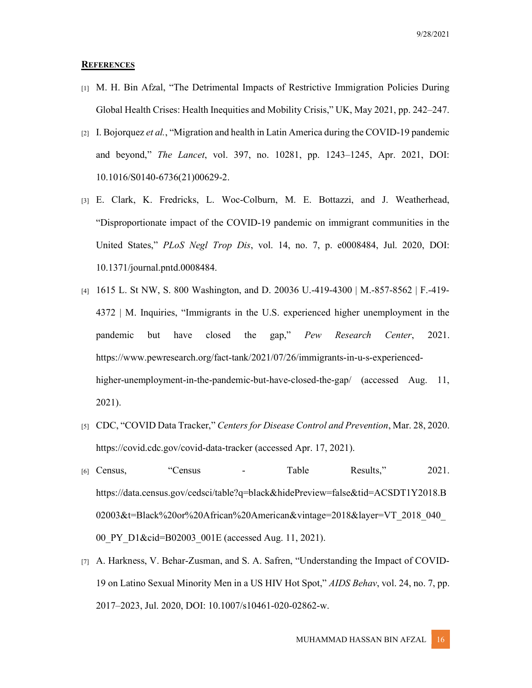#### **REFERENCES**

- [1] M. H. Bin Afzal, "The Detrimental Impacts of Restrictive Immigration Policies During Global Health Crises: Health Inequities and Mobility Crisis," UK, May 2021, pp. 242–247.
- [2] I. Bojorquez et al., "Migration and health in Latin America during the COVID-19 pandemic and beyond," The Lancet, vol. 397, no. 10281, pp. 1243–1245, Apr. 2021, DOI: 10.1016/S0140-6736(21)00629-2.
- [3] E. Clark, K. Fredricks, L. Woc-Colburn, M. E. Bottazzi, and J. Weatherhead, "Disproportionate impact of the COVID-19 pandemic on immigrant communities in the United States," PLoS Negl Trop Dis, vol. 14, no. 7, p. e0008484, Jul. 2020, DOI: 10.1371/journal.pntd.0008484.
- [4] 1615 L. St NW, S. 800 Washington, and D. 20036 U.-419-4300 | M.-857-8562 | F.-419- 4372 | M. Inquiries, "Immigrants in the U.S. experienced higher unemployment in the pandemic but have closed the gap," Pew Research Center, 2021. https://www.pewresearch.org/fact-tank/2021/07/26/immigrants-in-u-s-experiencedhigher-unemployment-in-the-pandemic-but-have-closed-the-gap/ (accessed Aug. 11, 2021).
- [5] CDC, "COVID Data Tracker," Centers for Disease Control and Prevention, Mar. 28, 2020. https://covid.cdc.gov/covid-data-tracker (accessed Apr. 17, 2021).
- [6] Census, "Census Table Results," 2021. https://data.census.gov/cedsci/table?q=black&hidePreview=false&tid=ACSDT1Y2018.B 02003&t=Black%20or%20African%20American&vintage=2018&layer=VT\_2018\_040\_ 00 PY D1&cid=B02003 001E (accessed Aug. 11, 2021).
- [7] A. Harkness, V. Behar-Zusman, and S. A. Safren, "Understanding the Impact of COVID-19 on Latino Sexual Minority Men in a US HIV Hot Spot," AIDS Behav, vol. 24, no. 7, pp. 2017–2023, Jul. 2020, DOI: 10.1007/s10461-020-02862-w.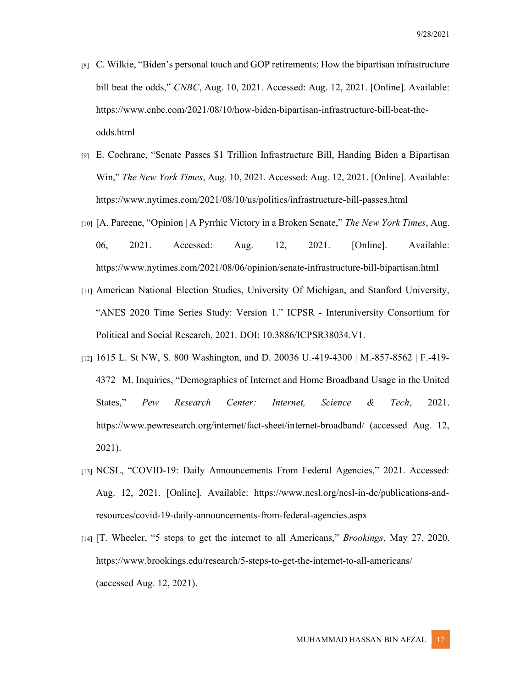- [8] C. Wilkie, "Biden's personal touch and GOP retirements: How the bipartisan infrastructure bill beat the odds," CNBC, Aug. 10, 2021. Accessed: Aug. 12, 2021. [Online]. Available: https://www.cnbc.com/2021/08/10/how-biden-bipartisan-infrastructure-bill-beat-theodds.html
- [9] E. Cochrane, "Senate Passes \$1 Trillion Infrastructure Bill, Handing Biden a Bipartisan Win," The New York Times, Aug. 10, 2021. Accessed: Aug. 12, 2021. [Online]. Available: https://www.nytimes.com/2021/08/10/us/politics/infrastructure-bill-passes.html
- [10] [A. Pareene, "Opinion | A Pyrrhic Victory in a Broken Senate," The New York Times, Aug. 06, 2021. Accessed: Aug. 12, 2021. [Online]. Available: https://www.nytimes.com/2021/08/06/opinion/senate-infrastructure-bill-bipartisan.html
- [11] American National Election Studies, University Of Michigan, and Stanford University, "ANES 2020 Time Series Study: Version 1." ICPSR - Interuniversity Consortium for Political and Social Research, 2021. DOI: 10.3886/ICPSR38034.V1.
- [12] 1615 L. St NW, S. 800 Washington, and D. 20036 U.-419-4300 | M.-857-8562 | F.-419-4372 | M. Inquiries, "Demographics of Internet and Home Broadband Usage in the United States," Pew Research Center: Internet, Science & Tech, 2021. https://www.pewresearch.org/internet/fact-sheet/internet-broadband/ (accessed Aug. 12, 2021).
- [13] NCSL, "COVID-19: Daily Announcements From Federal Agencies," 2021. Accessed: Aug. 12, 2021. [Online]. Available: https://www.ncsl.org/ncsl-in-dc/publications-andresources/covid-19-daily-announcements-from-federal-agencies.aspx
- [14] [T. Wheeler, "5 steps to get the internet to all Americans," Brookings, May 27, 2020. https://www.brookings.edu/research/5-steps-to-get-the-internet-to-all-americans/ (accessed Aug. 12, 2021).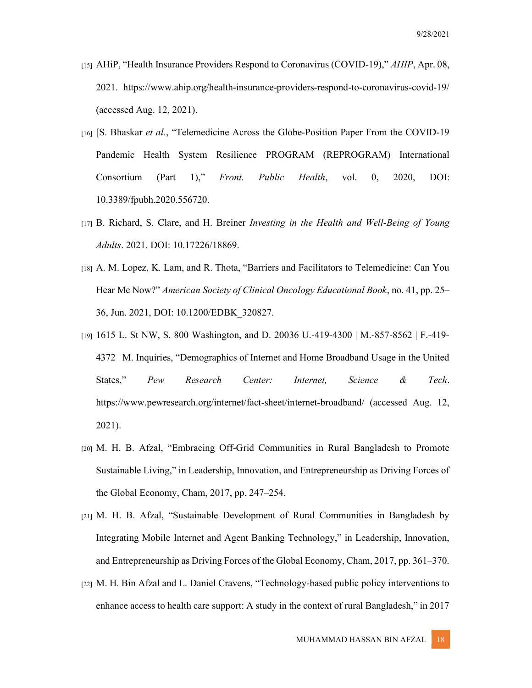- [15] AHiP, "Health Insurance Providers Respond to Coronavirus (COVID-19)," AHIP, Apr. 08, 2021. https://www.ahip.org/health-insurance-providers-respond-to-coronavirus-covid-19/ (accessed Aug. 12, 2021).
- [16] [S. Bhaskar et al., "Telemedicine Across the Globe-Position Paper From the COVID-19 Pandemic Health System Resilience PROGRAM (REPROGRAM) International Consortium (Part 1)," Front. Public Health, vol. 0, 2020, DOI: 10.3389/fpubh.2020.556720.
- [17] B. Richard, S. Clare, and H. Breiner Investing in the Health and Well-Being of Young Adults. 2021. DOI: 10.17226/18869.
- [18] A. M. Lopez, K. Lam, and R. Thota, "Barriers and Facilitators to Telemedicine: Can You Hear Me Now?" American Society of Clinical Oncology Educational Book, no. 41, pp. 25– 36, Jun. 2021, DOI: 10.1200/EDBK\_320827.
- [19] 1615 L. St NW, S. 800 Washington, and D. 20036 U.-419-4300 | M.-857-8562 | F.-419- 4372 | M. Inquiries, "Demographics of Internet and Home Broadband Usage in the United States," Pew Research Center: Internet, Science & Tech. https://www.pewresearch.org/internet/fact-sheet/internet-broadband/ (accessed Aug. 12, 2021).
- [20] M. H. B. Afzal, "Embracing Off-Grid Communities in Rural Bangladesh to Promote Sustainable Living," in Leadership, Innovation, and Entrepreneurship as Driving Forces of the Global Economy, Cham, 2017, pp. 247–254.
- [21] M. H. B. Afzal, "Sustainable Development of Rural Communities in Bangladesh by Integrating Mobile Internet and Agent Banking Technology," in Leadership, Innovation, and Entrepreneurship as Driving Forces of the Global Economy, Cham, 2017, pp. 361–370.
- [22] M. H. Bin Afzal and L. Daniel Cravens, "Technology-based public policy interventions to enhance access to health care support: A study in the context of rural Bangladesh," in 2017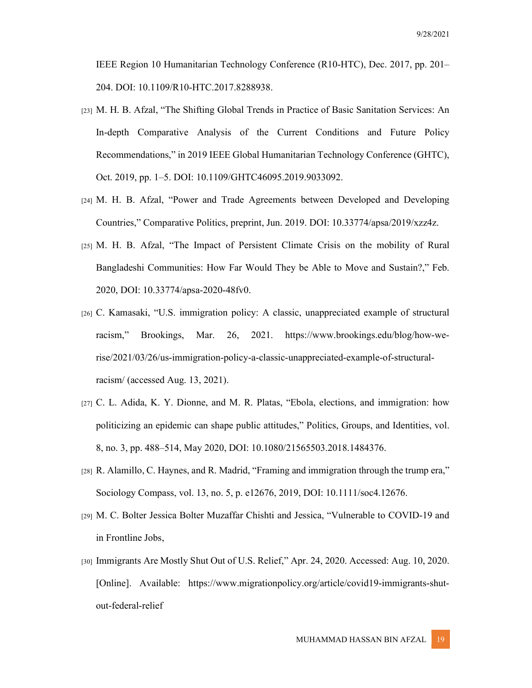IEEE Region 10 Humanitarian Technology Conference (R10-HTC), Dec. 2017, pp. 201– 204. DOI: 10.1109/R10-HTC.2017.8288938.

- [23] M. H. B. Afzal, "The Shifting Global Trends in Practice of Basic Sanitation Services: An In-depth Comparative Analysis of the Current Conditions and Future Policy Recommendations," in 2019 IEEE Global Humanitarian Technology Conference (GHTC), Oct. 2019, pp. 1–5. DOI: 10.1109/GHTC46095.2019.9033092.
- [24] M. H. B. Afzal, "Power and Trade Agreements between Developed and Developing Countries," Comparative Politics, preprint, Jun. 2019. DOI: 10.33774/apsa/2019/xzz4z.
- [25] M. H. B. Afzal, "The Impact of Persistent Climate Crisis on the mobility of Rural Bangladeshi Communities: How Far Would They be Able to Move and Sustain?," Feb. 2020, DOI: 10.33774/apsa-2020-48fv0.
- [26] C. Kamasaki, "U.S. immigration policy: A classic, unappreciated example of structural racism," Brookings, Mar. 26, 2021. https://www.brookings.edu/blog/how-werise/2021/03/26/us-immigration-policy-a-classic-unappreciated-example-of-structuralracism/ (accessed Aug. 13, 2021).
- [27] C. L. Adida, K. Y. Dionne, and M. R. Platas, "Ebola, elections, and immigration: how politicizing an epidemic can shape public attitudes," Politics, Groups, and Identities, vol. 8, no. 3, pp. 488–514, May 2020, DOI: 10.1080/21565503.2018.1484376.
- [28] R. Alamillo, C. Haynes, and R. Madrid, "Framing and immigration through the trump era," Sociology Compass, vol. 13, no. 5, p. e12676, 2019, DOI: 10.1111/soc4.12676.
- [29] M. C. Bolter Jessica Bolter Muzaffar Chishti and Jessica, "Vulnerable to COVID-19 and in Frontline Jobs,
- [30] Immigrants Are Mostly Shut Out of U.S. Relief," Apr. 24, 2020. Accessed: Aug. 10, 2020. [Online]. Available: https://www.migrationpolicy.org/article/covid19-immigrants-shutout-federal-relief